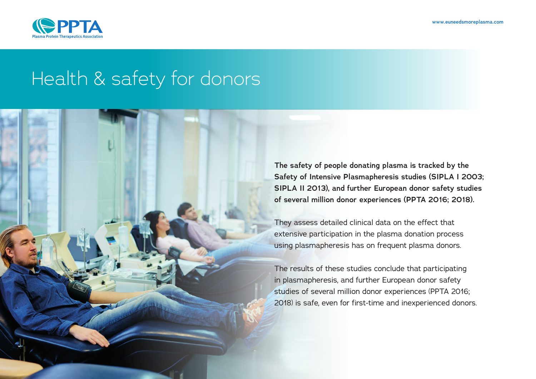

## Health & safety for donors

**The safety of people donating plasma is tracked by the Safety of Intensive Plasmapheresis studies (SIPLA I 2003; SIPLA II 2013), and further European donor safety studies of several million donor experiences (PPTA 2016; 2018).**

They assess detailed clinical data on the effect that extensive participation in the plasma donation process using plasmapheresis has on frequent plasma donors.

The results of these studies conclude that participating in plasmapheresis, and further European donor safety studies of several million donor experiences (PPTA 2016; 2018) is safe, even for first-time and inexperienced donors.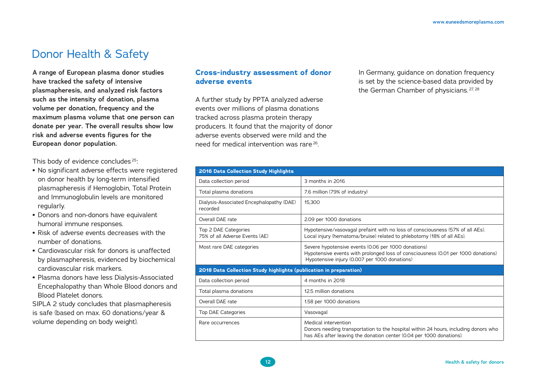## Donor Health & Safety

**A range of European plasma donor studies have tracked the safety of intensive plasmapheresis, and analyzed risk factors such as the intensity of donation, plasma volume per donation, frequency and the maximum plasma volume that one person can donate per year. The overall results show low risk and adverse events figures for the European donor population.** 

This body of evidence concludes 25:

- **•** No significant adverse effects were registered on donor health by long-term intensified plasmapheresis if Hemoglobin, Total Protein and Immunoglobulin levels are monitored regularly.
- **•** Donors and non-donors have equivalent humoral immune responses.
- **•** Risk of adverse events decreases with the number of donations.
- **•** Cardiovascular risk for donors is unaffected by plasmapheresis, evidenced by biochemical cardiovascular risk markers.
- **•** Plasma donors have less Dialysis-Associated Encephalopathy than Whole Blood donors and Blood Platelet donors.

SIPLA 2 study concludes that plasmapheresis is safe (based on max. 60 donations/year & volume depending on body weight).

## **Cross-industry assessment of donor adverse events**

A further study by PPTA analyzed adverse events over millions of plasma donations tracked across plasma protein therapy producers. It found that the majority of donor adverse events observed were mild and the need for medical intervention was rare 26.

In Germany, guidance on donation frequency is set by the science-based data provided by the German Chamber of physicians.<sup>27, 28</sup>

| 2016 Data Collection Study Highlights                              |                                                                                                                                                                                           |
|--------------------------------------------------------------------|-------------------------------------------------------------------------------------------------------------------------------------------------------------------------------------------|
| Data collection period                                             | 3 months in 2016                                                                                                                                                                          |
| Total plasma donations                                             | 7.6 million (79% of industry)                                                                                                                                                             |
| Dialysis-Associated Encephalopathy (DAE)<br>recorded               | 15,300                                                                                                                                                                                    |
| Overall DAE rate                                                   | 2.09 per 1000 donations                                                                                                                                                                   |
| Top 2 DAE Categories<br>75% of all Adverse Events (AE)             | Hypotensive/vasovagal prefaint with no loss of consciousness (57% of all AEs).<br>Local injury (hematoma/bruise) related to phlebotomy (18% of all AEs).                                  |
| Most rare DAE categories                                           | Severe hypotensive events (0.06 per 1000 donations)<br>Hypotensive events with prolonged loss of consciousness (0.01 per 1000 donations)<br>Hypotensive injury (0.007 per 1000 donations) |
| 2018 Data Collection Study highlights (publication in preparation) |                                                                                                                                                                                           |
| Data collection period                                             | 4 months in 2018                                                                                                                                                                          |
| Total plasma donations                                             | 12.5 million donations                                                                                                                                                                    |
| Overall DAE rate                                                   | 1.58 per 1000 donations                                                                                                                                                                   |
| Top DAE Categories                                                 | Vasovagal                                                                                                                                                                                 |
| Rare occurrences                                                   | Medical intervention<br>Donors needing transportation to the hospital within 24 hours, including donors who<br>has AEs after leaving the donation center (0.04 per 1000 donations).       |